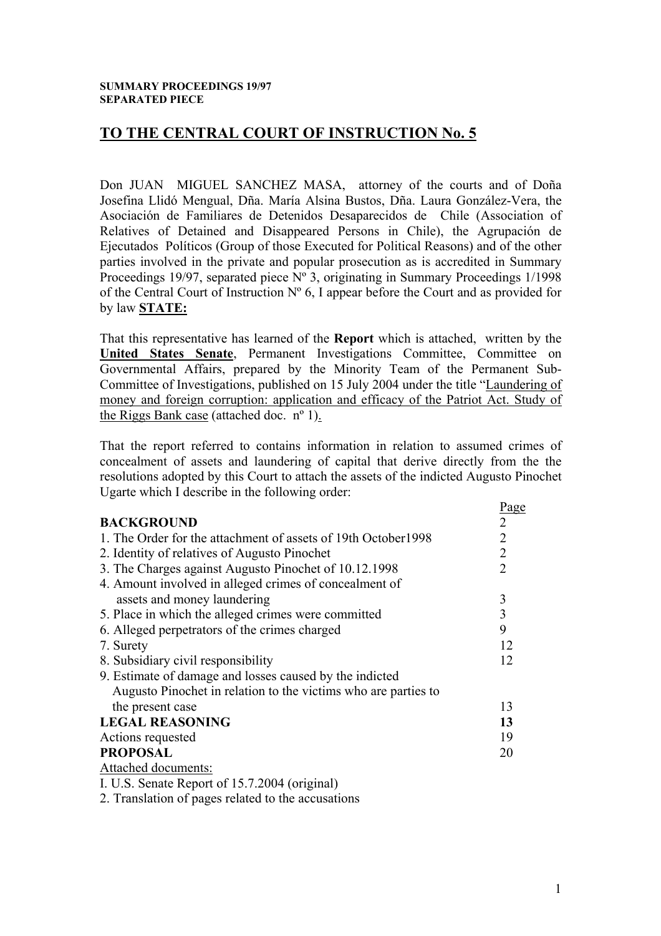# **TO THE CENTRAL COURT OF INSTRUCTION No. 5**

Don JUAN MIGUEL SANCHEZ MASA, attorney of the courts and of Doña Josefina Llidó Mengual, Dña. María Alsina Bustos, Dña. Laura González-Vera, the Asociación de Familiares de Detenidos Desaparecidos de Chile (Association of Relatives of Detained and Disappeared Persons in Chile), the Agrupación de Ejecutados Políticos (Group of those Executed for Political Reasons) and of the other parties involved in the private and popular prosecution as is accredited in Summary Proceedings 19/97, separated piece N° 3, originating in Summary Proceedings 1/1998 of the Central Court of Instruction  $N^{\circ}$  6, I appear before the Court and as provided for by law **STATE:**

That this representative has learned of the **Report** which is attached, written by the **United States Senate**, Permanent Investigations Committee, Committee on Governmental Affairs, prepared by the Minority Team of the Permanent Sub-Committee of Investigations, published on 15 July 2004 under the title "Laundering of money and foreign corruption: application and efficacy of the Patriot Act. Study of the Riggs Bank case (attached doc. nº 1).

That the report referred to contains information in relation to assumed crimes of concealment of assets and laundering of capital that derive directly from the the resolutions adopted by this Court to attach the assets of the indicted Augusto Pinochet Ugarte which I describe in the following order:

|                                                                | Page |  |
|----------------------------------------------------------------|------|--|
| <b>BACKGROUND</b>                                              | 2    |  |
| 1. The Order for the attachment of assets of 19th October 1998 |      |  |
| 2. Identity of relatives of Augusto Pinochet                   |      |  |
| 3. The Charges against Augusto Pinochet of 10.12.1998          |      |  |
| 4. Amount involved in alleged crimes of concealment of         |      |  |
| assets and money laundering                                    | 3    |  |
| 5. Place in which the alleged crimes were committed            |      |  |
| 6. Alleged perpetrators of the crimes charged                  |      |  |
| 7. Surety                                                      | 12   |  |
| 8. Subsidiary civil responsibility                             |      |  |
| 9. Estimate of damage and losses caused by the indicted        |      |  |
| Augusto Pinochet in relation to the victims who are parties to |      |  |
| the present case                                               | 13   |  |
| <b>LEGAL REASONING</b>                                         |      |  |
| Actions requested                                              |      |  |
| <b>PROPOSAL</b>                                                |      |  |
| Attached documents:                                            |      |  |
| I. U.S. Senate Report of 15.7.2004 (original)                  |      |  |
|                                                                |      |  |

2. Translation of pages related to the accusations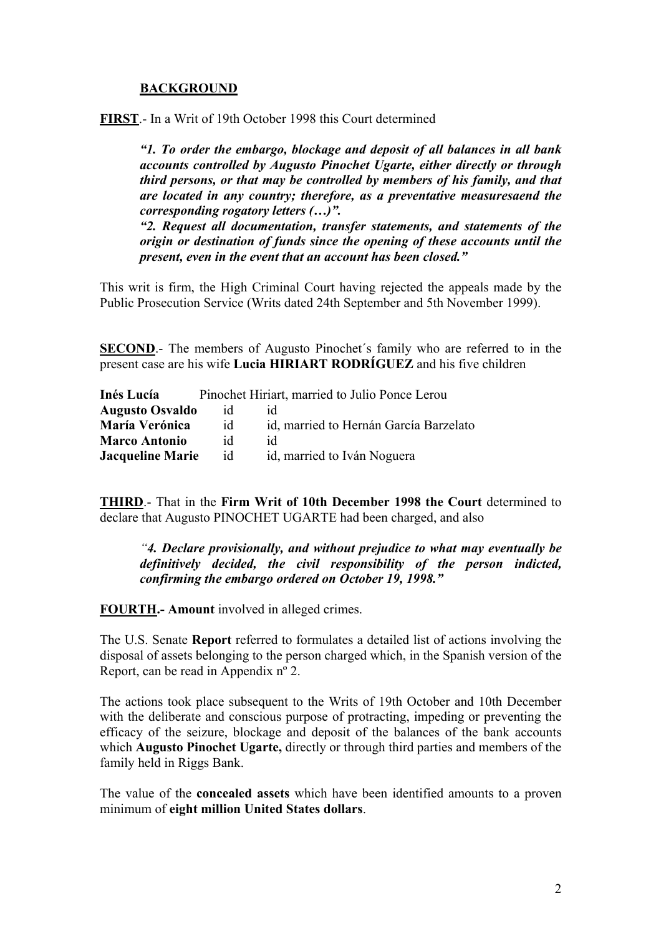### **BACKGROUND**

**FIRST**.- In a Writ of 19th October 1998 this Court determined

*"1. To order the embargo, blockage and deposit of all balances in all bank accounts controlled by Augusto Pinochet Ugarte, either directly or through third persons, or that may be controlled by members of his family, and that are located in any country; therefore, as a preventative measuresaend the corresponding rogatory letters (…)".* 

*"2. Request all documentation, transfer statements, and statements of the origin or destination of funds since the opening of these accounts until the present, even in the event that an account has been closed."* 

This writ is firm, the High Criminal Court having rejected the appeals made by the Public Prosecution Service (Writs dated 24th September and 5th November 1999).

**SECOND**.- The members of Augusto Pinochet's family who are referred to in the present case are his wife **Lucia HIRIART RODRÍGUEZ** and his five children

| Inés Lucía              |    | Pinochet Hiriart, married to Julio Ponce Lerou |
|-------------------------|----|------------------------------------------------|
| <b>Augusto Osvaldo</b>  | 1d |                                                |
| <b>María Verónica</b>   | id | id, married to Hernán García Barzelato         |
| <b>Marco Antonio</b>    | id | id                                             |
| <b>Jacqueline Marie</b> | id | id, married to Iván Noguera                    |

**THIRD**.- That in the **Firm Writ of 10th December 1998 the Court** determined to declare that Augusto PINOCHET UGARTE had been charged, and also

*"4. Declare provisionally, and without prejudice to what may eventually be definitively decided, the civil responsibility of the person indicted, confirming the embargo ordered on October 19, 1998."*

**FOURTH.- Amount** involved in alleged crimes.

The U.S. Senate **Report** referred to formulates a detailed list of actions involving the disposal of assets belonging to the person charged which, in the Spanish version of the Report, can be read in Appendix nº 2.

The actions took place subsequent to the Writs of 19th October and 10th December with the deliberate and conscious purpose of protracting, impeding or preventing the efficacy of the seizure, blockage and deposit of the balances of the bank accounts which **Augusto Pinochet Ugarte,** directly or through third parties and members of the family held in Riggs Bank.

The value of the **concealed assets** which have been identified amounts to a proven minimum of **eight million United States dollars**.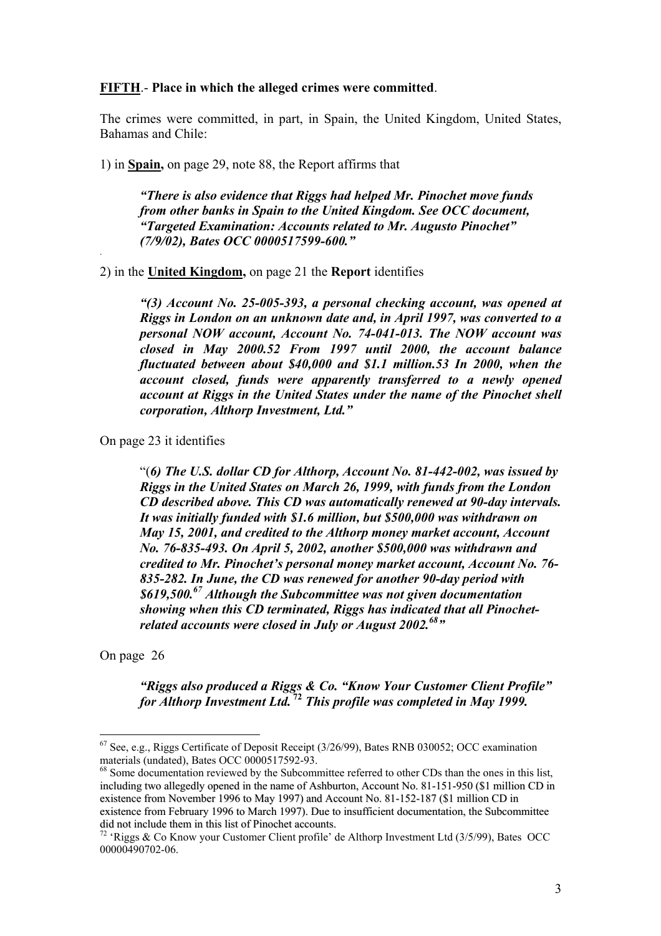#### **FIFTH**.- **Place in which the alleged crimes were committed**.

The crimes were committed, in part, in Spain, the United Kingdom, United States, Bahamas and Chile:

1) in **Spain,** on page 29, note 88, the Report affirms that

*"There is also evidence that Riggs had helped Mr. Pinochet move funds from other banks in Spain to the United Kingdom. See OCC document, "Targeted Examination: Accounts related to Mr. Augusto Pinochet" (7/9/02), Bates OCC 0000517599-600."* .

2) in the **United Kingdom,** on page 21 the **Report** identifies

*"(3) Account No. 25-005-393, a personal checking account, was opened at Riggs in London on an unknown date and, in April 1997, was converted to a personal NOW account, Account No. 74-041-013. The NOW account was closed in May 2000.52 From 1997 until 2000, the account balance fluctuated between about \$40,000 and \$1.1 million.53 In 2000, when the account closed, funds were apparently transferred to a newly opened account at Riggs in the United States under the name of the Pinochet shell corporation, Althorp Investment, Ltd."* 

On page 23 it identifies

"(*6) The U.S. dollar CD for Althorp, Account No. 81-442-002, was issued by Riggs in the United States on March 26, 1999, with funds from the London CD described above. This CD was automatically renewed at 90-day intervals. It was initially funded with \$1.6 million, but \$500,000 was withdrawn on May 15, 2001, and credited to the Althorp money market account, Account No. 76-835-493. On April 5, 2002, another \$500,000 was withdrawn and credited to Mr. Pinochet's personal money market account, Account No. 76- 835-282. In June, the CD was renewed for another 90-day period with \$619,500.67 Although the Subcommittee was not given documentation showing when this CD terminated, Riggs has indicated that all Pinochetrelated accounts were closed in July or August 2002.*<sup>68</sup>"

On page 26

 $\overline{a}$ 

*"Riggs also produced a Riggs & Co. "Know Your Customer Client Profile" for Althorp Investment Ltd.***<sup>72</sup>** *This profile was completed in May 1999.* 

 $67$  See, e.g., Riggs Certificate of Deposit Receipt (3/26/99), Bates RNB 030052; OCC examination materials (undated), Bates OCC 0000517592-93.

<sup>&</sup>lt;sup>68</sup> Some documentation reviewed by the Subcommittee referred to other CDs than the ones in this list, including two allegedly opened in the name of Ashburton, Account No. 81-151-950 (\$1 million CD in existence from November 1996 to May 1997) and Account No. 81-152-187 (\$1 million CD in existence from February 1996 to March 1997). Due to insufficient documentation, the Subcommittee

<sup>&</sup>lt;sup>72</sup> 'Riggs & Co Know your Customer Client profile' de Althorp Investment Ltd (3/5/99), Bates OCC 00000490702-06.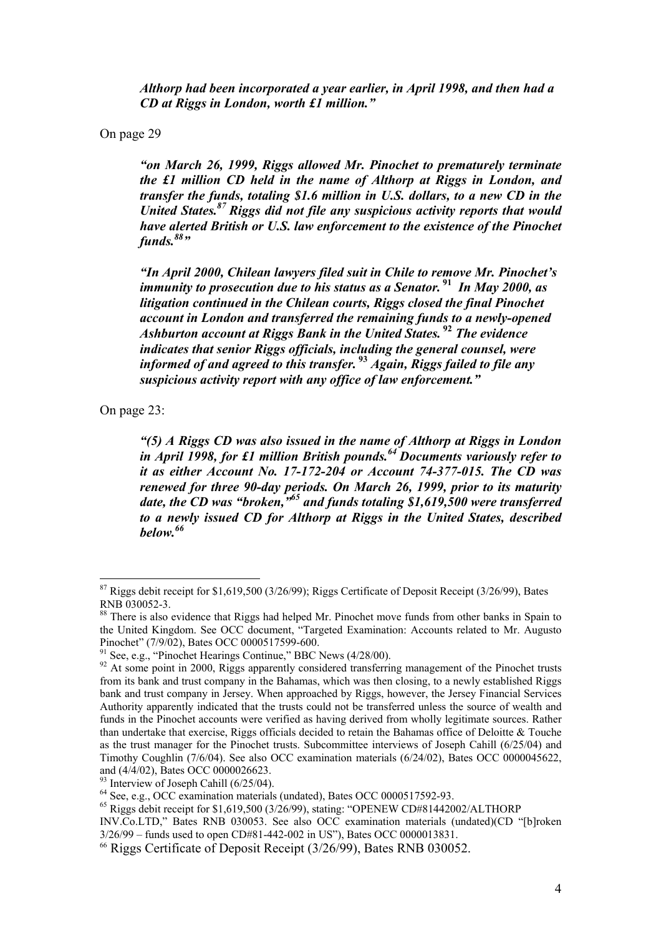*Althorp had been incorporated a year earlier, in April 1998, and then had a CD at Riggs in London, worth £1 million."* 

On page 29

*"on March 26, 1999, Riggs allowed Mr. Pinochet to prematurely terminate the £1 million CD held in the name of Althorp at Riggs in London, and transfer the funds, totaling \$1.6 million in U.S. dollars, to a new CD in the United States.87 Riggs did not file any suspicious activity reports that would have alerted British or U.S. law enforcement to the existence of the Pinochet funds.*<sup>88</sup>"

*"In April 2000, Chilean lawyers filed suit in Chile to remove Mr. Pinochet's immunity to prosecution due to his status as a Senator.***<sup>91</sup>** *In May 2000, as litigation continued in the Chilean courts, Riggs closed the final Pinochet account in London and transferred the remaining funds to a newly-opened Ashburton account at Riggs Bank in the United States.***<sup>92</sup>** *The evidence indicates that senior Riggs officials, including the general counsel, were informed of and agreed to this transfer.***<sup>93</sup>** *Again, Riggs failed to file any suspicious activity report with any office of law enforcement."* 

On page 23:

 $\overline{a}$ 

*"(5) A Riggs CD was also issued in the name of Althorp at Riggs in London in April 1998, for £1 million British pounds.64 Documents variously refer to it as either Account No. 17-172-204 or Account 74-377-015. The CD was renewed for three 90-day periods. On March 26, 1999, prior to its maturity date, the CD was "broken,"65 and funds totaling \$1,619,500 were transferred to a newly issued CD for Althorp at Riggs in the United States, described below.<sup>66</sup>*

 $87$  Riggs debit receipt for \$1,619,500 (3/26/99); Riggs Certificate of Deposit Receipt (3/26/99), Bates RNB 030052-3.

<sup>&</sup>lt;sup>88</sup> There is also evidence that Riggs had helped Mr. Pinochet move funds from other banks in Spain to the United Kingdom. See OCC document, "Targeted Examination: Accounts related to Mr. Augusto Pinochet" (7/9/02), Bates OCC 0000517599-600.

<sup>&</sup>lt;sup>91</sup> See, e.g., "Pinochet Hearings Continue," BBC News (4/28/00).

<sup>&</sup>lt;sup>92</sup> At some point in 2000, Riggs apparently considered transferring management of the Pinochet trusts from its bank and trust company in the Bahamas, which was then closing, to a newly established Riggs bank and trust company in Jersey. When approached by Riggs, however, the Jersey Financial Services Authority apparently indicated that the trusts could not be transferred unless the source of wealth and funds in the Pinochet accounts were verified as having derived from wholly legitimate sources. Rather than undertake that exercise, Riggs officials decided to retain the Bahamas office of Deloitte & Touche as the trust manager for the Pinochet trusts. Subcommittee interviews of Joseph Cahill (6/25/04) and Timothy Coughlin (7/6/04). See also OCC examination materials (6/24/02), Bates OCC 0000045622, and (4/4/02), Bates OCC 0000026623.

<sup>&</sup>lt;sup>93</sup> Interview of Joseph Cahill (6/25/04).<br><sup>64</sup> See. e.g., OCC examination materials (undated), Bates OCC 0000517592-93.

 $^{65}$  Riggs debit receipt for \$1,619,500 (3/26/99), stating: "OPENEW CD#81442002/ALTHORP

INV.Co.LTD," Bates RNB 030053. See also OCC examination materials (undated)(CD "[b]roken 3/26/99 – funds used to open CD#81-442-002 in US"), Bates OCC 0000013831.

<sup>66</sup> Riggs Certificate of Deposit Receipt (3/26/99), Bates RNB 030052.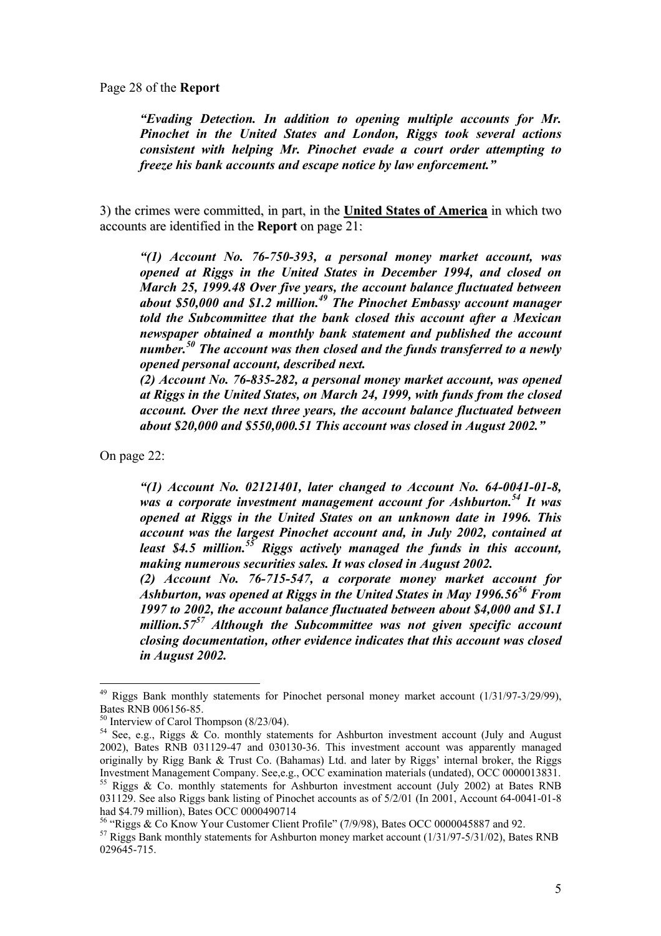Page 28 of the **Report** 

*"Evading Detection. In addition to opening multiple accounts for Mr. Pinochet in the United States and London, Riggs took several actions consistent with helping Mr. Pinochet evade a court order attempting to freeze his bank accounts and escape notice by law enforcement."* 

3) the crimes were committed, in part, in the **United States of America** in which two accounts are identified in the **Report** on page 21:

*"(1) Account No. 76-750-393, a personal money market account, was opened at Riggs in the United States in December 1994, and closed on March 25, 1999.48 Over five years, the account balance fluctuated between about \$50,000 and \$1.2 million.49 The Pinochet Embassy account manager told the Subcommittee that the bank closed this account after a Mexican newspaper obtained a monthly bank statement and published the account number.50 The account was then closed and the funds transferred to a newly opened personal account, described next.* 

*(2) Account No. 76-835-282, a personal money market account, was opened at Riggs in the United States, on March 24, 1999, with funds from the closed account. Over the next three years, the account balance fluctuated between about \$20,000 and \$550,000.51 This account was closed in August 2002."* 

On page 22:

 $\overline{a}$ 

*"(1) Account No. 02121401, later changed to Account No. 64-0041-01-8, was a corporate investment management account for Ashburton.54 It was opened at Riggs in the United States on an unknown date in 1996. This account was the largest Pinochet account and, in July 2002, contained at*  least \$4.5 million.<sup>55</sup> Riggs actively managed the funds in this account, *making numerous securities sales. It was closed in August 2002.* 

*(2) Account No. 76-715-547, a corporate money market account for Ashburton, was opened at Riggs in the United States in May 1996.5656 From 1997 to 2002, the account balance fluctuated between about \$4,000 and \$1.1 million.5757 Although the Subcommittee was not given specific account closing documentation, other evidence indicates that this account was closed in August 2002.* 

 $49$  Riggs Bank monthly statements for Pinochet personal money market account  $(1/31/97-3/29/99)$ , Bates RNB 006156-85.

 $50$  Interview of Carol Thompson  $(8/23/04)$ .

<sup>&</sup>lt;sup>54</sup> See, e.g., Riggs & Co. monthly statements for Ashburton investment account (July and August 2002), Bates RNB 031129-47 and 030130-36. This investment account was apparently managed originally by Rigg Bank & Trust Co. (Bahamas) Ltd. and later by Riggs' internal broker, the Riggs<br>Investment Management Company. See e.g., OCC examination materials (undated), OCC 0000013831.

 $\frac{55}{15}$  Riggs & Co. monthly statements for Ashburton investment account (July 2002) at Bates RNB 031129. See also Riggs bank listing of Pinochet accounts as of 5/2/01 (In 2001, Account 64-0041-01-8 had \$4.79 million), Bates OCC 0000490714

<sup>&</sup>lt;sup>56</sup> "Riggs & Co Know Your Customer Client Profile" (7/9/98), Bates OCC 0000045887 and 92.

 $57$  Riggs Bank monthly statements for Ashburton money market account (1/31/97-5/31/02), Bates RNB 029645-715.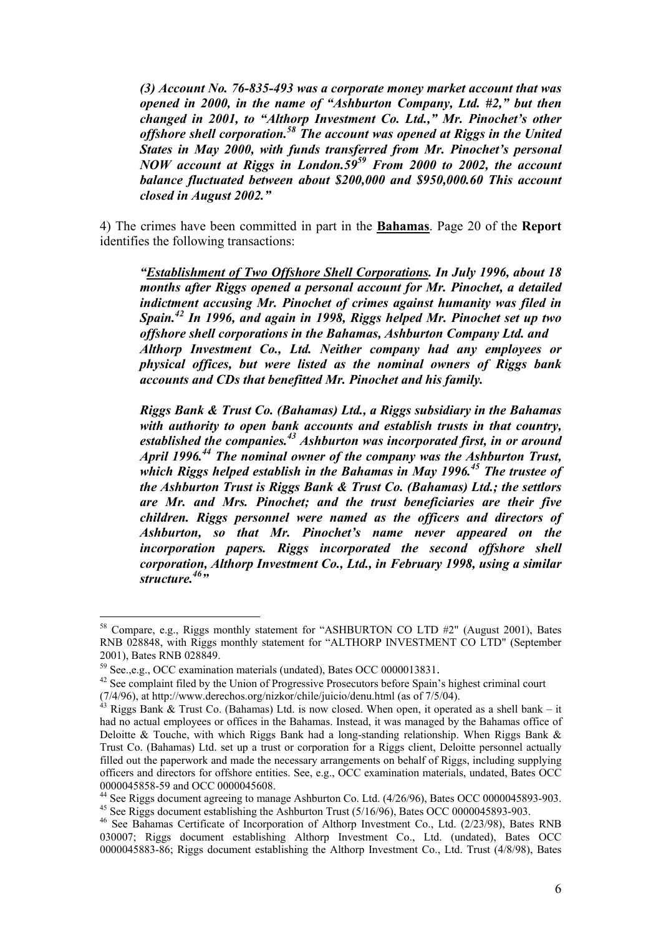*(3) Account No. 76-835-493 was a corporate money market account that was opened in 2000, in the name of "Ashburton Company, Ltd. #2," but then changed in 2001, to "Althorp Investment Co. Ltd.," Mr. Pinochet's other offshore shell corporation.58 The account was opened at Riggs in the United States in May 2000, with funds transferred from Mr. Pinochet's personal NOW account at Riggs in London.5959 From 2000 to 2002, the account balance fluctuated between about \$200,000 and \$950,000.60 This account closed in August 2002."*

4) The crimes have been committed in part in the **Bahamas**. Page 20 of the **Report**  identifies the following transactions:

*"Establishment of Two Offshore Shell Corporations. In July 1996, about 18 months after Riggs opened a personal account for Mr. Pinochet, a detailed indictment accusing Mr. Pinochet of crimes against humanity was filed in Spain.42 In 1996, and again in 1998, Riggs helped Mr. Pinochet set up two offshore shell corporations in the Bahamas, Ashburton Company Ltd. and Althorp Investment Co., Ltd. Neither company had any employees or physical offices, but were listed as the nominal owners of Riggs bank accounts and CDs that benefitted Mr. Pinochet and his family.* 

*Riggs Bank & Trust Co. (Bahamas) Ltd., a Riggs subsidiary in the Bahamas with authority to open bank accounts and establish trusts in that country, established the companies.43 Ashburton was incorporated first, in or around April 1996.44 The nominal owner of the company was the Ashburton Trust, which Riggs helped establish in the Bahamas in May 1996.45 The trustee of the Ashburton Trust is Riggs Bank & Trust Co. (Bahamas) Ltd.; the settlors are Mr. and Mrs. Pinochet; and the trust beneficiaries are their five children. Riggs personnel were named as the officers and directors of Ashburton, so that Mr. Pinochet's name never appeared on the incorporation papers. Riggs incorporated the second offshore shell corporation, Althorp Investment Co., Ltd., in February 1998, using a similar*  structure.<sup>46</sup>"

<sup>&</sup>lt;sup>58</sup> Compare, e.g., Riggs monthly statement for "ASHBURTON CO LTD #2" (August 2001), Bates RNB 028848, with Riggs monthly statement for "ALTHORP INVESTMENT CO LTD" (September 2001), Bates RNB 028849.

<sup>&</sup>lt;sup>59</sup> See.,e.g., OCC examination materials (undated), Bates OCC 0000013831.<br><sup>42</sup> See complaint filed by the Union of Progressive Prosecutors before Spain's highest criminal court (7/4/96), at http://www.derechos.org/nizkor/chile/juicio/denu.html (as of 7/5/04).<br><sup>43</sup> Riggs Bank & Trust Co. (Bahamas) Ltd. is now closed. When open, it operated as a shell bank – it

had no actual employees or offices in the Bahamas. Instead, it was managed by the Bahamas office of Deloitte & Touche, with which Riggs Bank had a long-standing relationship. When Riggs Bank  $\&$ Trust Co. (Bahamas) Ltd. set up a trust or corporation for a Riggs client, Deloitte personnel actually filled out the paperwork and made the necessary arrangements on behalf of Riggs, including supplying officers and directors for offshore entities. See, e.g., OCC examination materials, undated, Bates OCC 0000045858-59 and OCC 0000045608.

<sup>44</sup> See Riggs document agreeing to manage Ashburton Co. Ltd. (4/26/96), Bates OCC 0000045893-903. <sup>45</sup> See Riggs document establishing the Ashburton Trust  $(5/16/96)$ , Bates OCC 0000045893-903.

<sup>46</sup> See Bahamas Certificate of Incorporation of Althorp Investment Co., Ltd. (2/23/98), Bates RNB 030007; Riggs document establishing Althorp Investment Co., Ltd. (undated), Bates OCC 0000045883-86; Riggs document establishing the Althorp Investment Co., Ltd. Trust (4/8/98), Bates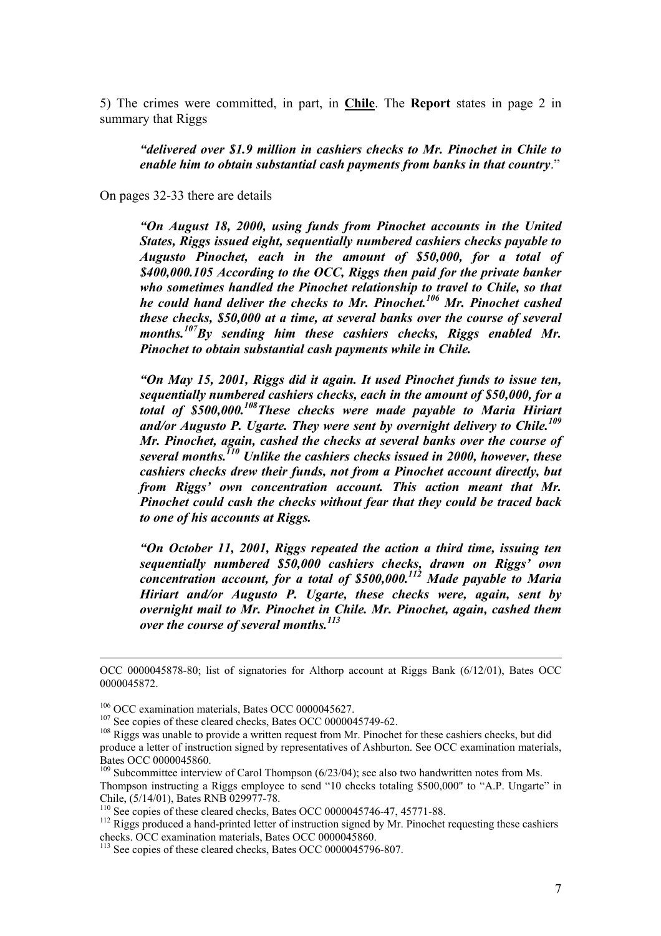5) The crimes were committed, in part, in **Chile**. The **Report** states in page 2 in summary that Riggs

*"delivered over \$1.9 million in cashiers checks to Mr. Pinochet in Chile to enable him to obtain substantial cash payments from banks in that country*."

On pages 32-33 there are details

*"On August 18, 2000, using funds from Pinochet accounts in the United States, Riggs issued eight, sequentially numbered cashiers checks payable to Augusto Pinochet, each in the amount of \$50,000, for a total of \$400,000.105 According to the OCC, Riggs then paid for the private banker who sometimes handled the Pinochet relationship to travel to Chile, so that he could hand deliver the checks to Mr. Pinochet.106 Mr. Pinochet cashed these checks, \$50,000 at a time, at several banks over the course of several months.107By sending him these cashiers checks, Riggs enabled Mr. Pinochet to obtain substantial cash payments while in Chile.* 

*"On May 15, 2001, Riggs did it again. It used Pinochet funds to issue ten, sequentially numbered cashiers checks, each in the amount of \$50,000, for a total of \$500,000.108These checks were made payable to Maria Hiriart and/or Augusto P. Ugarte. They were sent by overnight delivery to Chile.109 Mr. Pinochet, again, cashed the checks at several banks over the course of several months.110 Unlike the cashiers checks issued in 2000, however, these cashiers checks drew their funds, not from a Pinochet account directly, but from Riggs' own concentration account. This action meant that Mr. Pinochet could cash the checks without fear that they could be traced back to one of his accounts at Riggs.* 

*"On October 11, 2001, Riggs repeated the action a third time, issuing ten sequentially numbered \$50,000 cashiers checks, drawn on Riggs' own concentration account, for a total of \$500,000.112 Made payable to Maria Hiriart and/or Augusto P. Ugarte, these checks were, again, sent by overnight mail to Mr. Pinochet in Chile. Mr. Pinochet, again, cashed them over the course of several months.113*

OCC 0000045878-80; list of signatories for Althorp account at Riggs Bank (6/12/01), Bates OCC 0000045872.

<sup>&</sup>lt;sup>106</sup> OCC examination materials, Bates OCC 0000045627.<br><sup>107</sup> See copies of these cleared checks, Bates OCC 0000045749-62.<br><sup>108</sup> Riggs was unable to provide a written request from Mr. Pinochet for these cashiers checks, bu produce a letter of instruction signed by representatives of Ashburton. See OCC examination materials, Bates OCC 0000045860.

 $109$  Subcommittee interview of Carol Thompson (6/23/04); see also two handwritten notes from Ms. Thompson instructing a Riggs employee to send "10 checks totaling \$500,000" to "A.P. Ungarte" in Chile, (5/14/01), Bates RNB 029977-78.<br><sup>110</sup> See copies of these cleared checks, Bates OCC 0000045746-47, 45771-88.

 $112$  Riggs produced a hand-printed letter of instruction signed by Mr. Pinochet requesting these cashiers checks. OCC examination materials, Bates OCC 0000045860.

 $113$  See copies of these cleared checks, Bates OCC 0000045796-807.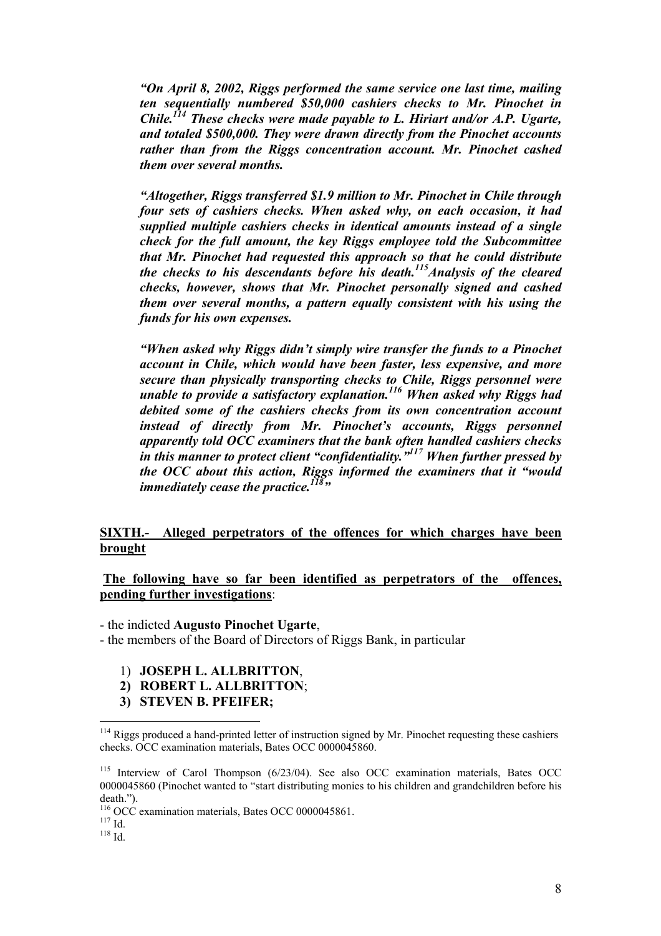*"On April 8, 2002, Riggs performed the same service one last time, mailing ten sequentially numbered \$50,000 cashiers checks to Mr. Pinochet in Chile.114 These checks were made payable to L. Hiriart and/or A.P. Ugarte, and totaled \$500,000. They were drawn directly from the Pinochet accounts rather than from the Riggs concentration account. Mr. Pinochet cashed them over several months.* 

*"Altogether, Riggs transferred \$1.9 million to Mr. Pinochet in Chile through four sets of cashiers checks. When asked why, on each occasion, it had supplied multiple cashiers checks in identical amounts instead of a single check for the full amount, the key Riggs employee told the Subcommittee that Mr. Pinochet had requested this approach so that he could distribute the checks to his descendants before his death.115Analysis of the cleared checks, however, shows that Mr. Pinochet personally signed and cashed them over several months, a pattern equally consistent with his using the funds for his own expenses.* 

*"When asked why Riggs didn't simply wire transfer the funds to a Pinochet account in Chile, which would have been faster, less expensive, and more secure than physically transporting checks to Chile, Riggs personnel were unable to provide a satisfactory explanation.116 When asked why Riggs had debited some of the cashiers checks from its own concentration account instead of directly from Mr. Pinochet's accounts, Riggs personnel apparently told OCC examiners that the bank often handled cashiers checks in this manner to protect client "confidentiality."117 When further pressed by the OCC about this action, Riggs informed the examiners that it "would immediately cease the practice.*<sup>118</sup><sup>*m*</sup></sub>

#### **SIXTH.- Alleged perpetrators of the offences for which charges have been brought**

#### **The following have so far been identified as perpetrators of the offences, pending further investigations**:

- the indicted **Augusto Pinochet Ugarte**,

- the members of the Board of Directors of Riggs Bank, in particular

- 1) **JOSEPH L. ALLBRITTON**,
- **2) ROBERT L. ALLBRITTON**;
- **3) STEVEN B. PFEIFER;**

 $114$  Riggs produced a hand-printed letter of instruction signed by Mr. Pinochet requesting these cashiers checks. OCC examination materials, Bates OCC 0000045860.

<sup>115</sup> Interview of Carol Thompson (6/23/04). See also OCC examination materials, Bates OCC 0000045860 (Pinochet wanted to "start distributing monies to his children and grandchildren before his death.").

<sup>&</sup>lt;sup>116</sup> OCC examination materials, Bates OCC 0000045861.<br><sup>117</sup> Id.<br><sup>118</sup> Id.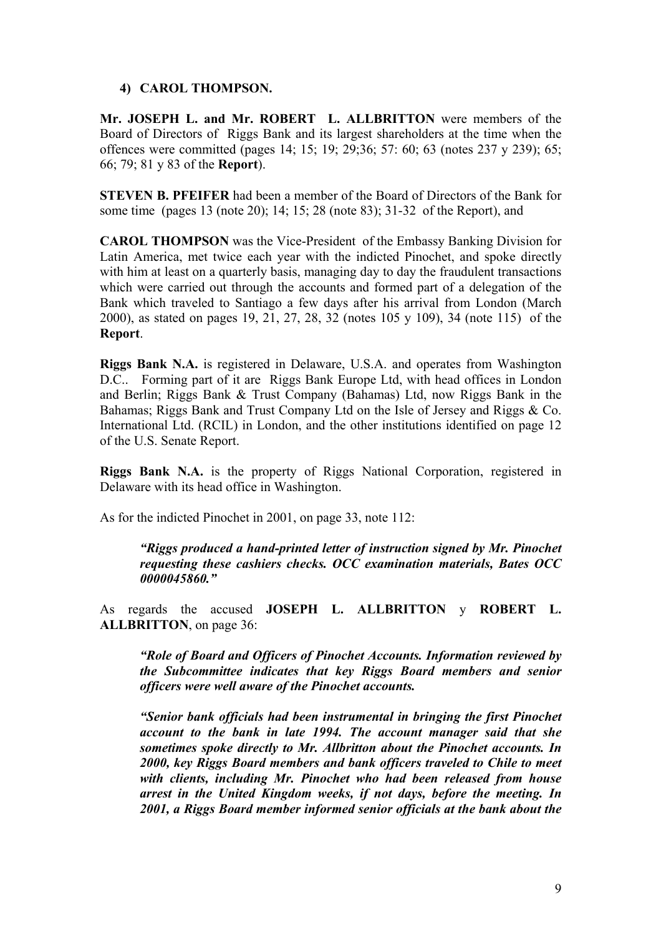#### **4) CAROL THOMPSON.**

**Mr. JOSEPH L. and Mr. ROBERT L. ALLBRITTON** were members of the Board of Directors of Riggs Bank and its largest shareholders at the time when the offences were committed (pages 14; 15; 19; 29;36; 57: 60; 63 (notes 237 y 239); 65; 66; 79; 81 y 83 of the **Report**).

**STEVEN B. PFEIFER** had been a member of the Board of Directors of the Bank for some time (pages 13 (note 20); 14; 15; 28 (note 83); 31-32 of the Report), and

**CAROL THOMPSON** was the Vice-President of the Embassy Banking Division for Latin America, met twice each year with the indicted Pinochet, and spoke directly with him at least on a quarterly basis, managing day to day the fraudulent transactions which were carried out through the accounts and formed part of a delegation of the Bank which traveled to Santiago a few days after his arrival from London (March 2000), as stated on pages 19, 21, 27, 28, 32 (notes 105 y 109), 34 (note 115) of the **Report**.

**Riggs Bank N.A.** is registered in Delaware, U.S.A. and operates from Washington D.C.. Forming part of it are Riggs Bank Europe Ltd, with head offices in London and Berlin; Riggs Bank & Trust Company (Bahamas) Ltd, now Riggs Bank in the Bahamas; Riggs Bank and Trust Company Ltd on the Isle of Jersey and Riggs & Co. International Ltd. (RCIL) in London, and the other institutions identified on page 12 of the U.S. Senate Report.

**Riggs Bank N.A.** is the property of Riggs National Corporation, registered in Delaware with its head office in Washington.

As for the indicted Pinochet in 2001, on page 33, note 112:

*"Riggs produced a hand-printed letter of instruction signed by Mr. Pinochet requesting these cashiers checks. OCC examination materials, Bates OCC 0000045860."* 

As regards the accused **JOSEPH L. ALLBRITTON** y **ROBERT L. ALLBRITTON**, on page 36:

*"Role of Board and Officers of Pinochet Accounts. Information reviewed by the Subcommittee indicates that key Riggs Board members and senior officers were well aware of the Pinochet accounts.* 

*"Senior bank officials had been instrumental in bringing the first Pinochet account to the bank in late 1994. The account manager said that she sometimes spoke directly to Mr. Allbritton about the Pinochet accounts. In 2000, key Riggs Board members and bank officers traveled to Chile to meet with clients, including Mr. Pinochet who had been released from house arrest in the United Kingdom weeks, if not days, before the meeting. In 2001, a Riggs Board member informed senior officials at the bank about the*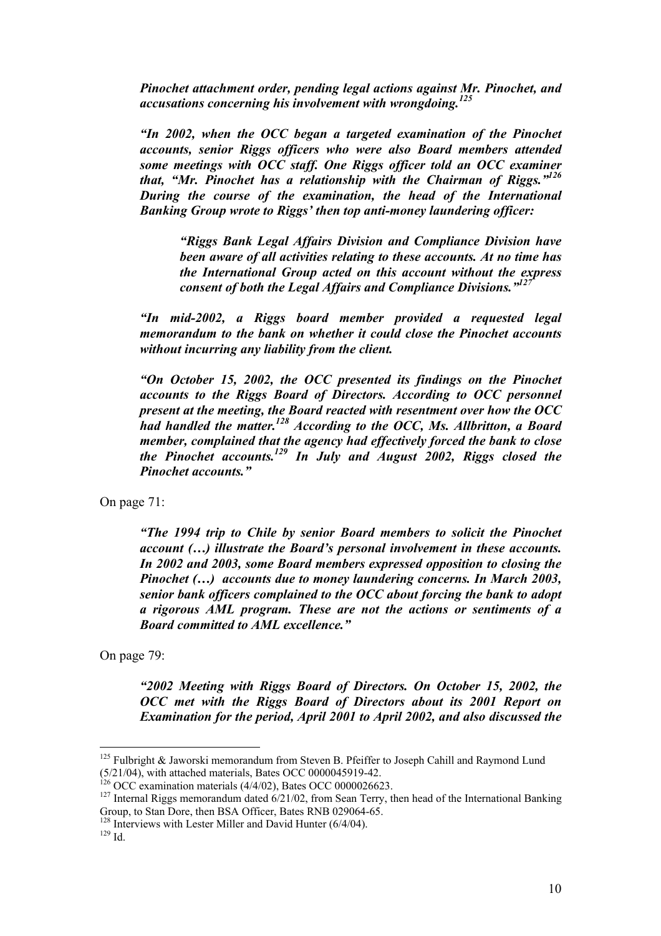*Pinochet attachment order, pending legal actions against Mr. Pinochet, and accusations concerning his involvement with wrongdoing.<sup>125</sup>*

*"In 2002, when the OCC began a targeted examination of the Pinochet accounts, senior Riggs officers who were also Board members attended some meetings with OCC staff. One Riggs officer told an OCC examiner that, "Mr. Pinochet has a relationship with the Chairman of Riggs."126 During the course of the examination, the head of the International Banking Group wrote to Riggs' then top anti-money laundering officer:* 

*"Riggs Bank Legal Affairs Division and Compliance Division have been aware of all activities relating to these accounts. At no time has the International Group acted on this account without the express consent of both the Legal Affairs and Compliance Divisions."127*

*"In mid-2002, a Riggs board member provided a requested legal memorandum to the bank on whether it could close the Pinochet accounts without incurring any liability from the client.* 

*"On October 15, 2002, the OCC presented its findings on the Pinochet accounts to the Riggs Board of Directors. According to OCC personnel present at the meeting, the Board reacted with resentment over how the OCC had handled the matter.128 According to the OCC, Ms. Allbritton, a Board member, complained that the agency had effectively forced the bank to close the Pinochet accounts.129 In July and August 2002, Riggs closed the Pinochet accounts."* 

On page 71:

*"The 1994 trip to Chile by senior Board members to solicit the Pinochet account (…) illustrate the Board's personal involvement in these accounts. In 2002 and 2003, some Board members expressed opposition to closing the Pinochet (…) accounts due to money laundering concerns. In March 2003, senior bank officers complained to the OCC about forcing the bank to adopt a rigorous AML program. These are not the actions or sentiments of a Board committed to AML excellence."* 

On page 79:

*"2002 Meeting with Riggs Board of Directors. On October 15, 2002, the OCC met with the Riggs Board of Directors about its 2001 Report on Examination for the period, April 2001 to April 2002, and also discussed the* 

 $125$  Fulbright & Jaworski memorandum from Steven B. Pfeiffer to Joseph Cahill and Raymond Lund  $(5/21/04)$ , with attached materials, Bates OCC 0000045919-42.<br><sup>126</sup> OCC examination materials (4/4/02), Bates OCC 0000026623.

<sup>&</sup>lt;sup>127</sup> Internal Riggs memorandum dated  $6/21/02$ , from Sean Terry, then head of the International Banking Group, to Stan Dore, then BSA Officer, Bates RNB 029064-65.

<sup>&</sup>lt;sup>128</sup> Interviews with Lester Miller and David Hunter (6/4/04).<br><sup>129</sup> Id.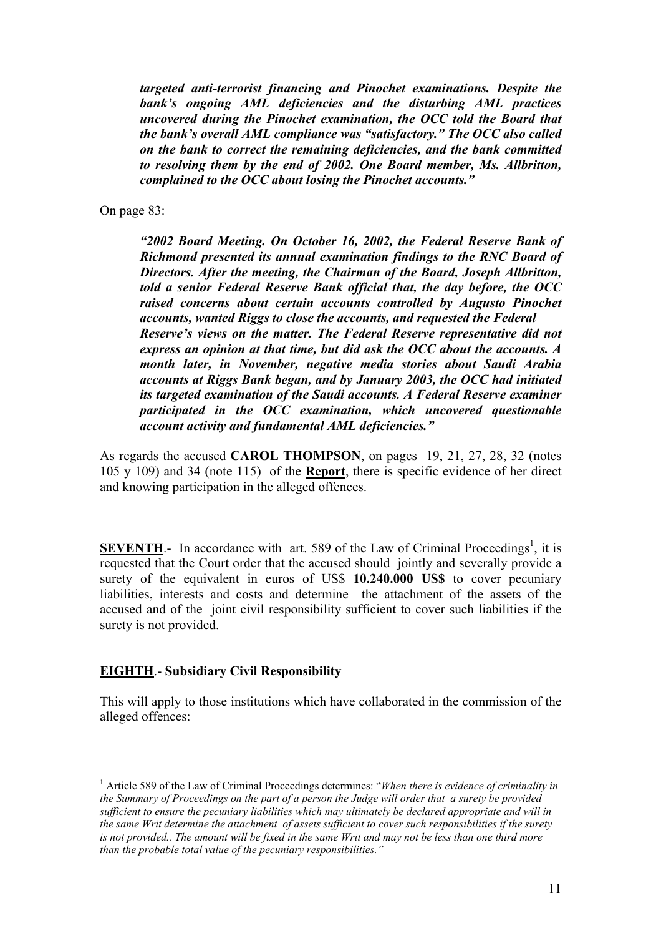*targeted anti-terrorist financing and Pinochet examinations. Despite the bank's ongoing AML deficiencies and the disturbing AML practices uncovered during the Pinochet examination, the OCC told the Board that the bank's overall AML compliance was "satisfactory." The OCC also called on the bank to correct the remaining deficiencies, and the bank committed to resolving them by the end of 2002. One Board member, Ms. Allbritton, complained to the OCC about losing the Pinochet accounts."* 

On page 83:

*"2002 Board Meeting. On October 16, 2002, the Federal Reserve Bank of Richmond presented its annual examination findings to the RNC Board of Directors. After the meeting, the Chairman of the Board, Joseph Allbritton, told a senior Federal Reserve Bank official that, the day before, the OCC raised concerns about certain accounts controlled by Augusto Pinochet accounts, wanted Riggs to close the accounts, and requested the Federal Reserve's views on the matter. The Federal Reserve representative did not express an opinion at that time, but did ask the OCC about the accounts. A month later, in November, negative media stories about Saudi Arabia accounts at Riggs Bank began, and by January 2003, the OCC had initiated its targeted examination of the Saudi accounts. A Federal Reserve examiner participated in the OCC examination, which uncovered questionable account activity and fundamental AML deficiencies."* 

As regards the accused **CAROL THOMPSON**, on pages 19, 21, 27, 28, 32 (notes 105 y 109) and 34 (note 115) of the **Report**, there is specific evidence of her direct and knowing participation in the alleged offences.

**SEVENTH**.- In accordance with art. 589 of the Law of Criminal Proceedings<sup>1</sup>, it is requested that the Court order that the accused should jointly and severally provide a surety of the equivalent in euros of US\$ **10.240.000 US\$** to cover pecuniary liabilities, interests and costs and determine the attachment of the assets of the accused and of the joint civil responsibility sufficient to cover such liabilities if the surety is not provided.

#### **EIGHTH**.- **Subsidiary Civil Responsibility**

 $\overline{a}$ 

This will apply to those institutions which have collaborated in the commission of the alleged offences:

<sup>&</sup>lt;sup>1</sup> Article 589 of the Law of Criminal Proceedings determines: "When there is evidence of criminality in *the Summary of Proceedings on the part of a person the Judge will order that a surety be provided sufficient to ensure the pecuniary liabilities which may ultimately be declared appropriate and will in the same Writ determine the attachment of assets sufficient to cover such responsibilities if the surety is not provided.. The amount will be fixed in the same Writ and may not be less than one third more than the probable total value of the pecuniary responsibilities."*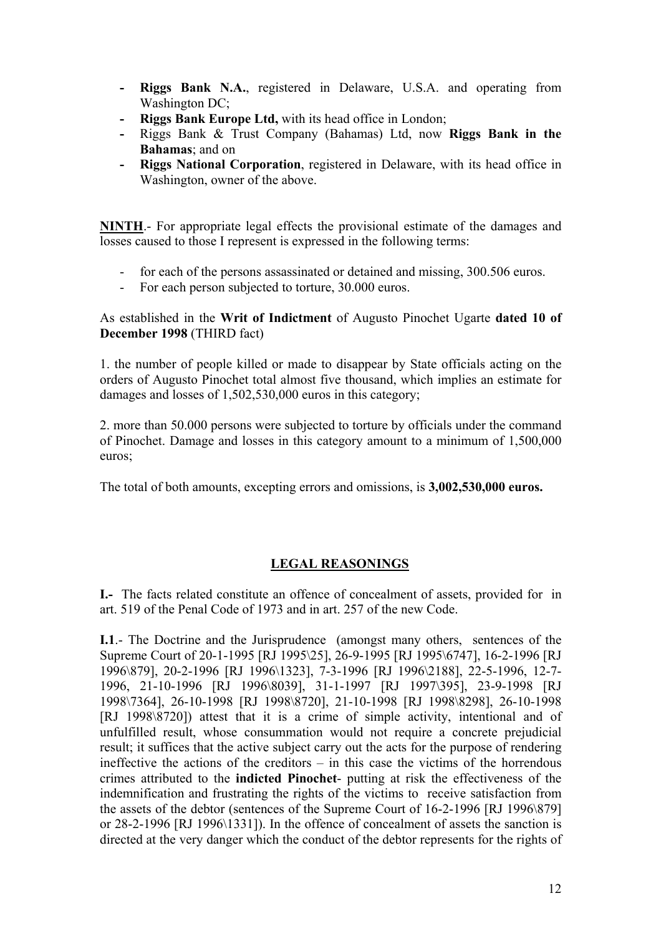- **- Riggs Bank N.A.**, registered in Delaware, U.S.A. and operating from Washington DC;
- **- Riggs Bank Europe Ltd,** with its head office in London;
- **-** Riggs Bank & Trust Company (Bahamas) Ltd, now **Riggs Bank in the Bahamas**; and on
- **- Riggs National Corporation**, registered in Delaware, with its head office in Washington, owner of the above.

**NINTH**.- For appropriate legal effects the provisional estimate of the damages and losses caused to those I represent is expressed in the following terms:

- for each of the persons assassinated or detained and missing, 300.506 euros.
- For each person subjected to torture, 30,000 euros.

#### As established in the **Writ of Indictment** of Augusto Pinochet Ugarte **dated 10 of December 1998** (THIRD fact)

1. the number of people killed or made to disappear by State officials acting on the orders of Augusto Pinochet total almost five thousand, which implies an estimate for damages and losses of 1,502,530,000 euros in this category;

2. more than 50.000 persons were subjected to torture by officials under the command of Pinochet. Damage and losses in this category amount to a minimum of 1,500,000 euros;

The total of both amounts, excepting errors and omissions, is **3,002,530,000 euros.**

#### **LEGAL REASONINGS**

**I.-** The facts related constitute an offence of concealment of assets, provided for in art. 519 of the Penal Code of 1973 and in art. 257 of the new Code.

**I.1**.- The Doctrine and the Jurisprudence (amongst many others, sentences of the Supreme Court of 20-1-1995 [RJ 1995\25], 26-9-1995 [RJ 1995\6747], 16-2-1996 [RJ 1996\879], 20-2-1996 [RJ 1996\1323], 7-3-1996 [RJ 1996\2188], 22-5-1996, 12-7- 1996, 21-10-1996 [RJ 1996\8039], 31-1-1997 [RJ 1997\395], 23-9-1998 [RJ 1998\7364], 26-10-1998 [RJ 1998\8720], 21-10-1998 [RJ 1998\8298], 26-10-1998 [RJ 1998\8720]) attest that it is a crime of simple activity, intentional and of unfulfilled result, whose consummation would not require a concrete prejudicial result; it suffices that the active subject carry out the acts for the purpose of rendering ineffective the actions of the creditors – in this case the victims of the horrendous crimes attributed to the **indicted Pinochet**- putting at risk the effectiveness of the indemnification and frustrating the rights of the victims to receive satisfaction from the assets of the debtor (sentences of the Supreme Court of 16-2-1996 [RJ 1996\879] or 28-2-1996 [RJ 1996\1331]). In the offence of concealment of assets the sanction is directed at the very danger which the conduct of the debtor represents for the rights of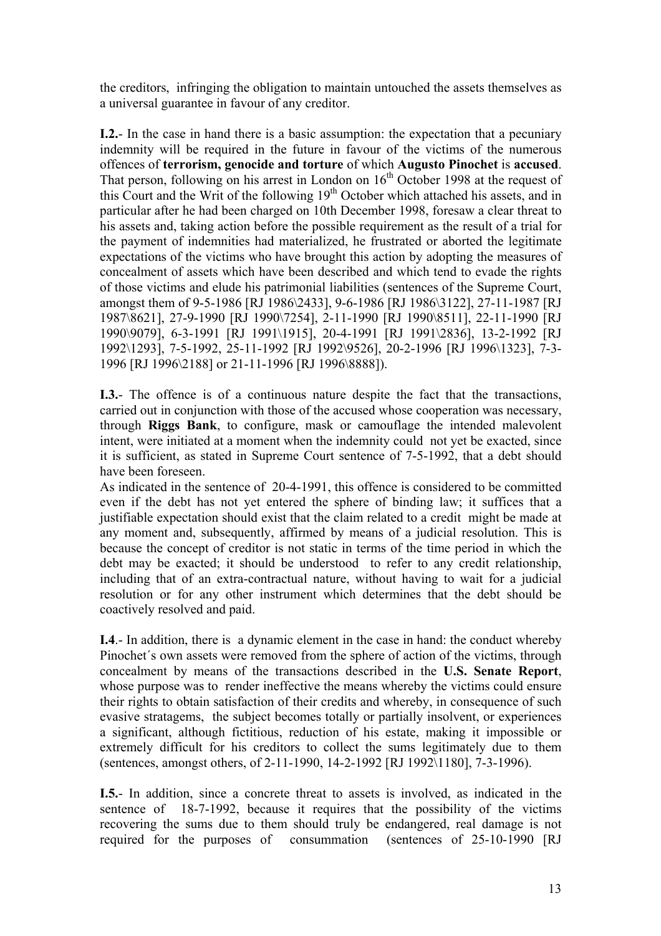the creditors, infringing the obligation to maintain untouched the assets themselves as a universal guarantee in favour of any creditor.

**I.2.**- In the case in hand there is a basic assumption: the expectation that a pecuniary indemnity will be required in the future in favour of the victims of the numerous offences of **terrorism, genocide and torture** of which **Augusto Pinochet** is **accused**. That person, following on his arrest in London on  $16<sup>th</sup>$  October 1998 at the request of this Court and the Writ of the following 19th October which attached his assets, and in particular after he had been charged on 10th December 1998, foresaw a clear threat to his assets and, taking action before the possible requirement as the result of a trial for the payment of indemnities had materialized, he frustrated or aborted the legitimate expectations of the victims who have brought this action by adopting the measures of concealment of assets which have been described and which tend to evade the rights of those victims and elude his patrimonial liabilities (sentences of the Supreme Court, amongst them of 9-5-1986 [RJ 1986\2433], 9-6-1986 [RJ 1986\3122], 27-11-1987 [RJ 1987\8621], 27-9-1990 [RJ 1990\7254], 2-11-1990 [RJ 1990\8511], 22-11-1990 [RJ 1990\9079], 6-3-1991 [RJ 1991\1915], 20-4-1991 [RJ 1991\2836], 13-2-1992 [RJ 1992\1293], 7-5-1992, 25-11-1992 [RJ 1992\9526], 20-2-1996 [RJ 1996\1323], 7-3- 1996 [RJ 1996\2188] or 21-11-1996 [RJ 1996\8888]).

**I.3.**- The offence is of a continuous nature despite the fact that the transactions, carried out in conjunction with those of the accused whose cooperation was necessary, through **Riggs Bank**, to configure, mask or camouflage the intended malevolent intent, were initiated at a moment when the indemnity could not yet be exacted, since it is sufficient, as stated in Supreme Court sentence of 7-5-1992, that a debt should have been foreseen.

As indicated in the sentence of 20-4-1991, this offence is considered to be committed even if the debt has not yet entered the sphere of binding law; it suffices that a justifiable expectation should exist that the claim related to a credit might be made at any moment and, subsequently, affirmed by means of a judicial resolution. This is because the concept of creditor is not static in terms of the time period in which the debt may be exacted; it should be understood to refer to any credit relationship, including that of an extra-contractual nature, without having to wait for a judicial resolution or for any other instrument which determines that the debt should be coactively resolved and paid.

**I.4**.- In addition, there is a dynamic element in the case in hand: the conduct whereby Pinochet´s own assets were removed from the sphere of action of the victims, through concealment by means of the transactions described in the **U.S. Senate Report**, whose purpose was to render ineffective the means whereby the victims could ensure their rights to obtain satisfaction of their credits and whereby, in consequence of such evasive stratagems, the subject becomes totally or partially insolvent, or experiences a significant, although fictitious, reduction of his estate, making it impossible or extremely difficult for his creditors to collect the sums legitimately due to them (sentences, amongst others, of 2-11-1990, 14-2-1992 [RJ 1992\1180], 7-3-1996).

**I.5.**- In addition, since a concrete threat to assets is involved, as indicated in the sentence of 18-7-1992, because it requires that the possibility of the victims recovering the sums due to them should truly be endangered, real damage is not required for the purposes of consummation (sentences of 25-10-1990 [RJ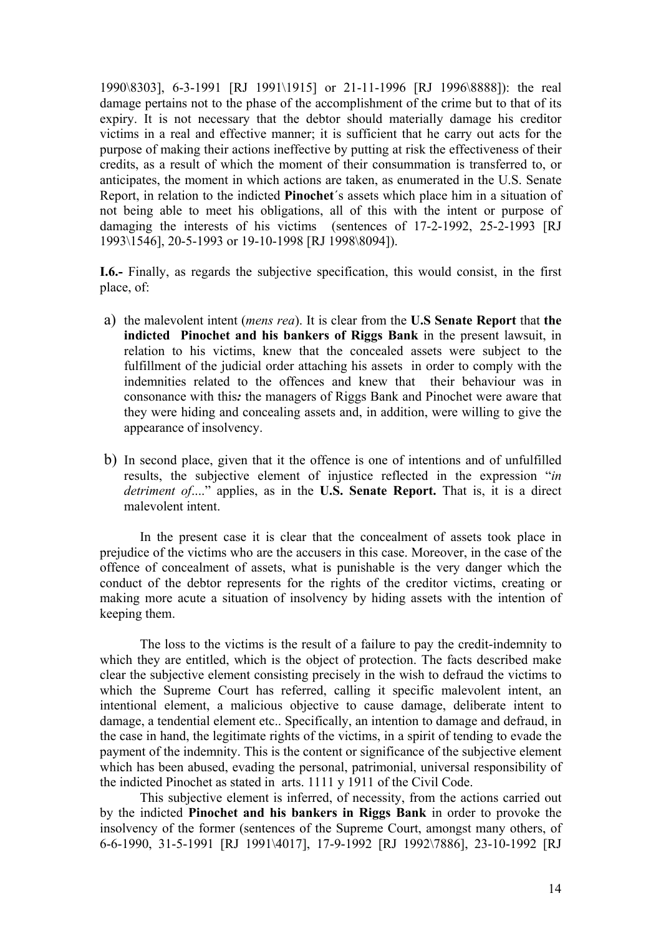1990\8303], 6-3-1991 [RJ 1991\1915] or 21-11-1996 [RJ 1996\8888]): the real damage pertains not to the phase of the accomplishment of the crime but to that of its expiry. It is not necessary that the debtor should materially damage his creditor victims in a real and effective manner; it is sufficient that he carry out acts for the purpose of making their actions ineffective by putting at risk the effectiveness of their credits, as a result of which the moment of their consummation is transferred to, or anticipates, the moment in which actions are taken, as enumerated in the U.S. Senate Report, in relation to the indicted **Pinochet**´s assets which place him in a situation of not being able to meet his obligations, all of this with the intent or purpose of damaging the interests of his victims (sentences of 17-2-1992, 25-2-1993 [RJ 1993\1546], 20-5-1993 or 19-10-1998 [RJ 1998\8094]).

**I.6.-** Finally, as regards the subjective specification, this would consist, in the first place, of:

- a) the malevolent intent (*mens rea*). It is clear from the **U.S Senate Report** that **the indicted Pinochet and his bankers of Riggs Bank** in the present lawsuit, in relation to his victims, knew that the concealed assets were subject to the fulfillment of the judicial order attaching his assets in order to comply with the indemnities related to the offences and knew that their behaviour was in consonance with this*:* the managers of Riggs Bank and Pinochet were aware that they were hiding and concealing assets and, in addition, were willing to give the appearance of insolvency.
- b) In second place, given that it the offence is one of intentions and of unfulfilled results, the subjective element of injustice reflected in the expression "*in detriment of*...." applies, as in the **U.S. Senate Report.** That is, it is a direct malevolent intent.

 In the present case it is clear that the concealment of assets took place in prejudice of the victims who are the accusers in this case. Moreover, in the case of the offence of concealment of assets, what is punishable is the very danger which the conduct of the debtor represents for the rights of the creditor victims, creating or making more acute a situation of insolvency by hiding assets with the intention of keeping them.

 The loss to the victims is the result of a failure to pay the credit-indemnity to which they are entitled, which is the object of protection. The facts described make clear the subjective element consisting precisely in the wish to defraud the victims to which the Supreme Court has referred, calling it specific malevolent intent, an intentional element, a malicious objective to cause damage, deliberate intent to damage, a tendential element etc.. Specifically, an intention to damage and defraud, in the case in hand, the legitimate rights of the victims, in a spirit of tending to evade the payment of the indemnity. This is the content or significance of the subjective element which has been abused, evading the personal, patrimonial, universal responsibility of the indicted Pinochet as stated in arts. 1111 y 1911 of the Civil Code.

This subjective element is inferred, of necessity, from the actions carried out by the indicted **Pinochet and his bankers in Riggs Bank** in order to provoke the insolvency of the former (sentences of the Supreme Court, amongst many others, of 6-6-1990, 31-5-1991 [RJ 1991\4017], 17-9-1992 [RJ 1992\7886], 23-10-1992 [RJ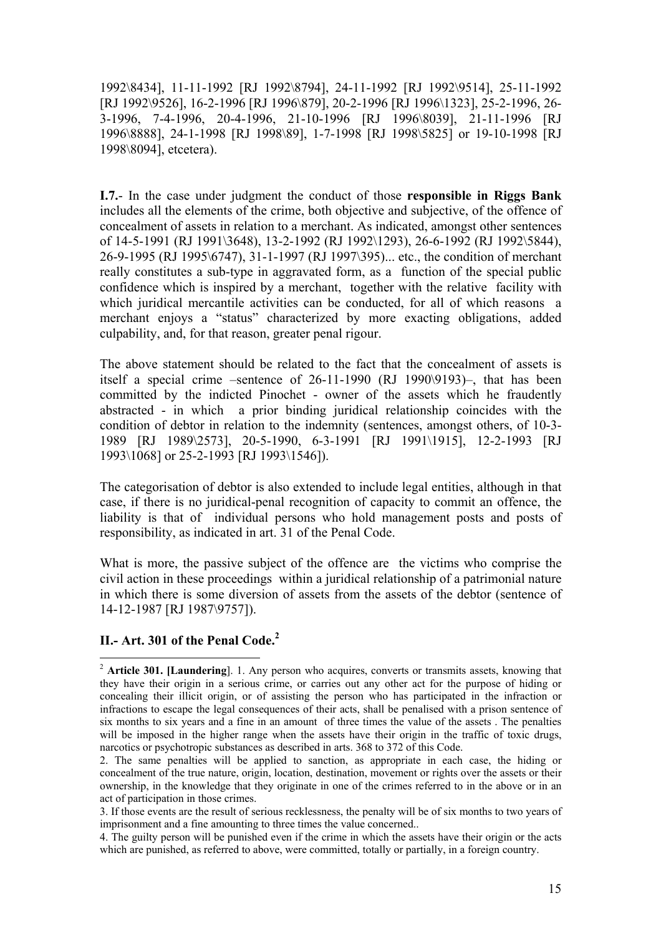1992\8434], 11-11-1992 [RJ 1992\8794], 24-11-1992 [RJ 1992\9514], 25-11-1992 [RJ 1992\9526], 16-2-1996 [RJ 1996\879], 20-2-1996 [RJ 1996\1323], 25-2-1996, 26- 3-1996, 7-4-1996, 20-4-1996, 21-10-1996 [RJ 1996\8039], 21-11-1996 [RJ 1996\8888], 24-1-1998 [RJ 1998\89], 1-7-1998 [RJ 1998\5825] or 19-10-1998 [RJ 1998\8094], etcetera).

**I.7.**- In the case under judgment the conduct of those **responsible in Riggs Bank**  includes all the elements of the crime, both objective and subjective, of the offence of concealment of assets in relation to a merchant. As indicated, amongst other sentences of 14-5-1991 (RJ 1991\3648), 13-2-1992 (RJ 1992\1293), 26-6-1992 (RJ 1992\5844), 26-9-1995 (RJ 1995\6747), 31-1-1997 (RJ 1997\395)... etc., the condition of merchant really constitutes a sub-type in aggravated form, as a function of the special public confidence which is inspired by a merchant, together with the relative facility with which juridical mercantile activities can be conducted, for all of which reasons a merchant enjoys a "status" characterized by more exacting obligations, added culpability, and, for that reason, greater penal rigour.

The above statement should be related to the fact that the concealment of assets is itself a special crime –sentence of 26-11-1990 (RJ 1990\9193)–, that has been committed by the indicted Pinochet - owner of the assets which he fraudently abstracted - in which a prior binding juridical relationship coincides with the condition of debtor in relation to the indemnity (sentences, amongst others, of 10-3- 1989 [RJ 1989\2573], 20-5-1990, 6-3-1991 [RJ 1991\1915], 12-2-1993 [RJ 1993\1068] or 25-2-1993 [RJ 1993\1546]).

The categorisation of debtor is also extended to include legal entities, although in that case, if there is no juridical-penal recognition of capacity to commit an offence, the liability is that of individual persons who hold management posts and posts of responsibility, as indicated in art. 31 of the Penal Code.

What is more, the passive subject of the offence are the victims who comprise the civil action in these proceedings within a juridical relationship of a patrimonial nature in which there is some diversion of assets from the assets of the debtor (sentence of 14-12-1987 [RJ 1987\9757]).

## **II.- Art. 301 of the Penal Code.2**

<sup>2</sup> **Article 301. [Laundering**]. 1. Any person who acquires, converts or transmits assets, knowing that they have their origin in a serious crime, or carries out any other act for the purpose of hiding or concealing their illicit origin, or of assisting the person who has participated in the infraction or infractions to escape the legal consequences of their acts, shall be penalised with a prison sentence of six months to six years and a fine in an amount of three times the value of the assets . The penalties will be imposed in the higher range when the assets have their origin in the traffic of toxic drugs, narcotics or psychotropic substances as described in arts. 368 to 372 of this Code.

<sup>2.</sup> The same penalties will be applied to sanction, as appropriate in each case, the hiding or concealment of the true nature, origin, location, destination, movement or rights over the assets or their ownership, in the knowledge that they originate in one of the crimes referred to in the above or in an act of participation in those crimes.

<sup>3.</sup> If those events are the result of serious recklessness, the penalty will be of six months to two years of imprisonment and a fine amounting to three times the value concerned..

<sup>4.</sup> The guilty person will be punished even if the crime in which the assets have their origin or the acts which are punished, as referred to above, were committed, totally or partially, in a foreign country.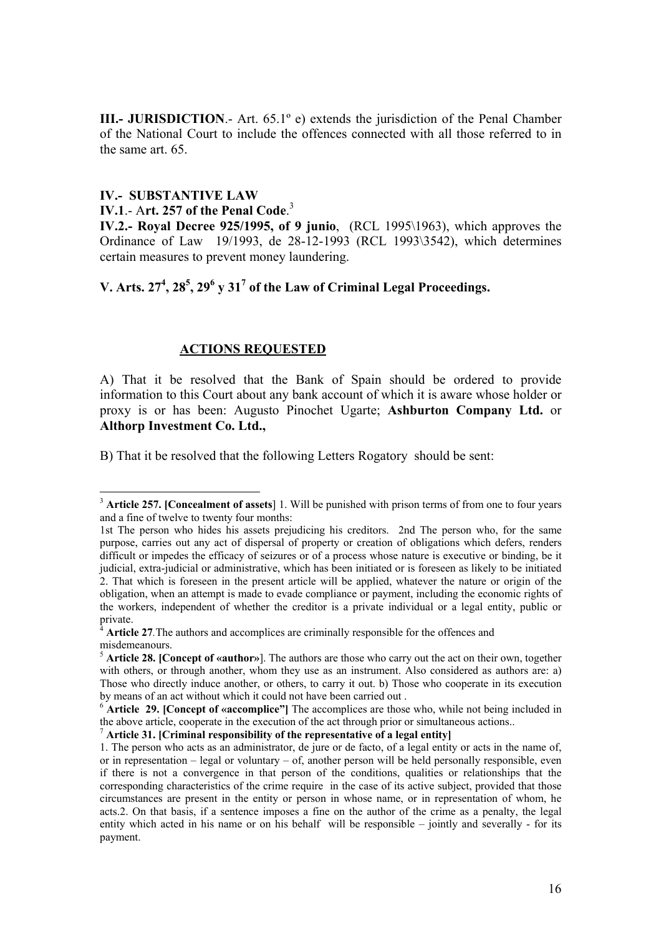**III.- JURISDICTION.**- Art. 65.1<sup>°</sup> e) extends the jurisdiction of the Penal Chamber of the National Court to include the offences connected with all those referred to in the same art. 65.

## **IV.- SUBSTANTIVE LAW**

 $\overline{a}$ 

## **IV.1**.- A**rt. 257 of the Penal Code**. 3

**IV.2.- Royal Decree 925/1995, of 9 junio**, (RCL 1995\1963), which approves the Ordinance of Law 19/1993, de 28-12-1993 (RCL 1993\3542), which determines certain measures to prevent money laundering.

## V. Arts.  $27^4$ ,  $28^5$ ,  $29^6$  y  $31^7$  of the Law of Criminal Legal Proceedings.

### **ACTIONS REQUESTED**

A) That it be resolved that the Bank of Spain should be ordered to provide information to this Court about any bank account of which it is aware whose holder or proxy is or has been: Augusto Pinochet Ugarte; **Ashburton Company Ltd.** or **Althorp Investment Co. Ltd.,**

B) That it be resolved that the following Letters Rogatory should be sent:

<sup>7</sup> **Article 31. [Criminal responsibility of the representative of a legal entity]**

<sup>3</sup> **Article 257. [Concealment of assets**] 1. Will be punished with prison terms of from one to four years and a fine of twelve to twenty four months:

<sup>1</sup>st The person who hides his assets prejudicing his creditors. 2nd The person who, for the same purpose, carries out any act of dispersal of property or creation of obligations which defers, renders difficult or impedes the efficacy of seizures or of a process whose nature is executive or binding, be it judicial, extra-judicial or administrative, which has been initiated or is foreseen as likely to be initiated 2. That which is foreseen in the present article will be applied, whatever the nature or origin of the obligation, when an attempt is made to evade compliance or payment, including the economic rights of the workers, independent of whether the creditor is a private individual or a legal entity, public or private.

<sup>4</sup> **Article 27***.*The authors and accomplices are criminally responsible for the offences and misdemeanours.

<sup>5</sup> **Article 28. [Concept of «author»**]. The authors are those who carry out the act on their own, together with others, or through another, whom they use as an instrument. Also considered as authors are: a) Those who directly induce another, or others, to carry it out. b) Those who cooperate in its execution by means of an act without which it could not have been carried out .

<sup>&</sup>lt;sup>6</sup> **Article 29. [Concept of «accomplice"]** The accomplices are those who, while not being included in the above article, cooperate in the execution of the act through prior or simultaneous actions..

<sup>1.</sup> The person who acts as an administrator, de jure or de facto, of a legal entity or acts in the name of, or in representation – legal or voluntary – of, another person will be held personally responsible, even if there is not a convergence in that person of the conditions, qualities or relationships that the corresponding characteristics of the crime require in the case of its active subject, provided that those circumstances are present in the entity or person in whose name, or in representation of whom, he acts.2. On that basis, if a sentence imposes a fine on the author of the crime as a penalty, the legal entity which acted in his name or on his behalf will be responsible – jointly and severally - for its payment.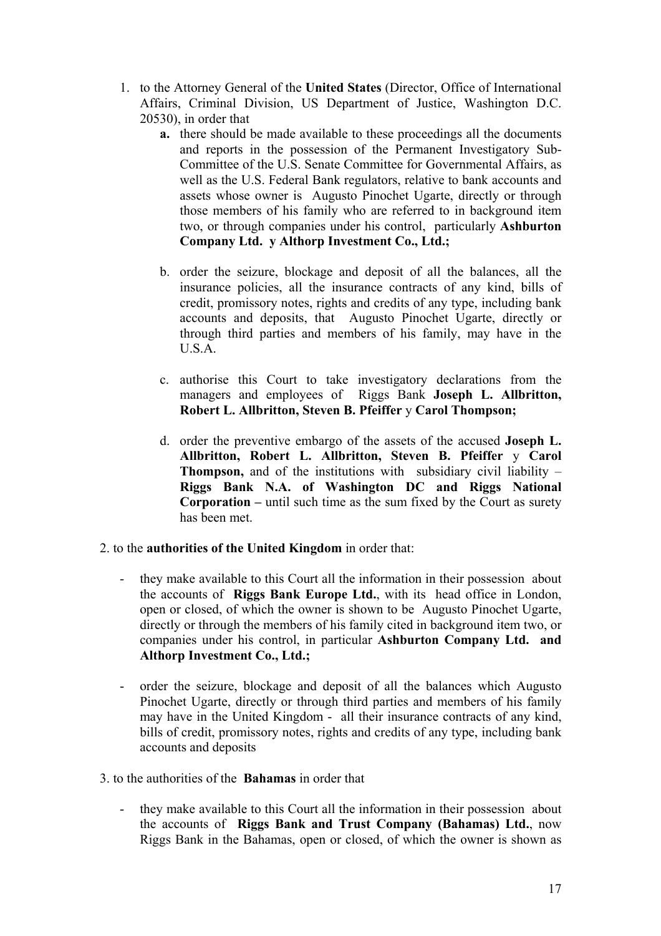- 1. to the Attorney General of the **United States** (Director, Office of International Affairs, Criminal Division, US Department of Justice, Washington D.C. 20530), in order that
	- **a.** there should be made available to these proceedings all the documents and reports in the possession of the Permanent Investigatory Sub-Committee of the U.S. Senate Committee for Governmental Affairs, as well as the U.S. Federal Bank regulators, relative to bank accounts and assets whose owner is Augusto Pinochet Ugarte, directly or through those members of his family who are referred to in background item two, or through companies under his control, particularly **Ashburton Company Ltd. y Althorp Investment Co., Ltd.;**
	- b. order the seizure, blockage and deposit of all the balances, all the insurance policies, all the insurance contracts of any kind, bills of credit, promissory notes, rights and credits of any type, including bank accounts and deposits, that Augusto Pinochet Ugarte, directly or through third parties and members of his family, may have in the U.S.A.
	- c. authorise this Court to take investigatory declarations from the managers and employees of Riggs Bank **Joseph L. Allbritton, Robert L. Allbritton, Steven B. Pfeiffer** y **Carol Thompson;**
	- d. order the preventive embargo of the assets of the accused **Joseph L. Allbritton, Robert L. Allbritton, Steven B. Pfeiffer** y **Carol Thompson,** and of the institutions with subsidiary civil liability – **Riggs Bank N.A. of Washington DC and Riggs National Corporation –** until such time as the sum fixed by the Court as surety has been met.
- 2. to the **authorities of the United Kingdom** in order that:
	- they make available to this Court all the information in their possession about the accounts of **Riggs Bank Europe Ltd.**, with its head office in London, open or closed, of which the owner is shown to be Augusto Pinochet Ugarte, directly or through the members of his family cited in background item two, or companies under his control, in particular **Ashburton Company Ltd. and Althorp Investment Co., Ltd.;**
	- order the seizure, blockage and deposit of all the balances which Augusto Pinochet Ugarte, directly or through third parties and members of his family may have in the United Kingdom - all their insurance contracts of any kind, bills of credit, promissory notes, rights and credits of any type, including bank accounts and deposits
- 3. to the authorities of the **Bahamas** in order that
	- they make available to this Court all the information in their possession about the accounts of **Riggs Bank and Trust Company (Bahamas) Ltd.**, now Riggs Bank in the Bahamas, open or closed, of which the owner is shown as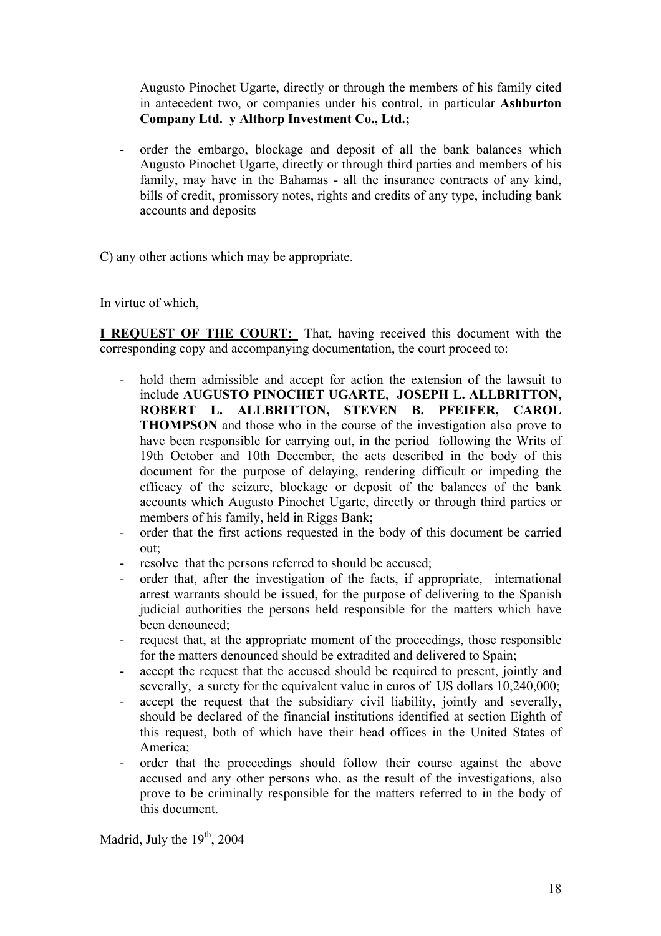Augusto Pinochet Ugarte, directly or through the members of his family cited in antecedent two, or companies under his control, in particular **Ashburton Company Ltd. y Althorp Investment Co., Ltd.;**

order the embargo, blockage and deposit of all the bank balances which Augusto Pinochet Ugarte, directly or through third parties and members of his family, may have in the Bahamas - all the insurance contracts of any kind, bills of credit, promissory notes, rights and credits of any type, including bank accounts and deposits

C) any other actions which may be appropriate.

In virtue of which,

**I REQUEST OF THE COURT:** That, having received this document with the corresponding copy and accompanying documentation, the court proceed to:

- hold them admissible and accept for action the extension of the lawsuit to include **AUGUSTO PINOCHET UGARTE**, **JOSEPH L. ALLBRITTON, ROBERT L. ALLBRITTON, STEVEN B. PFEIFER, CAROL THOMPSON** and those who in the course of the investigation also prove to have been responsible for carrying out, in the period following the Writs of 19th October and 10th December, the acts described in the body of this document for the purpose of delaying, rendering difficult or impeding the efficacy of the seizure, blockage or deposit of the balances of the bank accounts which Augusto Pinochet Ugarte, directly or through third parties or members of his family, held in Riggs Bank;
- order that the first actions requested in the body of this document be carried out;
- resolve that the persons referred to should be accused;
- order that, after the investigation of the facts, if appropriate, international arrest warrants should be issued, for the purpose of delivering to the Spanish judicial authorities the persons held responsible for the matters which have been denounced;
- request that, at the appropriate moment of the proceedings, those responsible for the matters denounced should be extradited and delivered to Spain;
- accept the request that the accused should be required to present, jointly and severally, a surety for the equivalent value in euros of US dollars  $10,240,000$ ;
- accept the request that the subsidiary civil liability, jointly and severally, should be declared of the financial institutions identified at section Eighth of this request, both of which have their head offices in the United States of America;
- order that the proceedings should follow their course against the above accused and any other persons who, as the result of the investigations, also prove to be criminally responsible for the matters referred to in the body of this document.

Madrid, July the  $19<sup>th</sup>$ , 2004